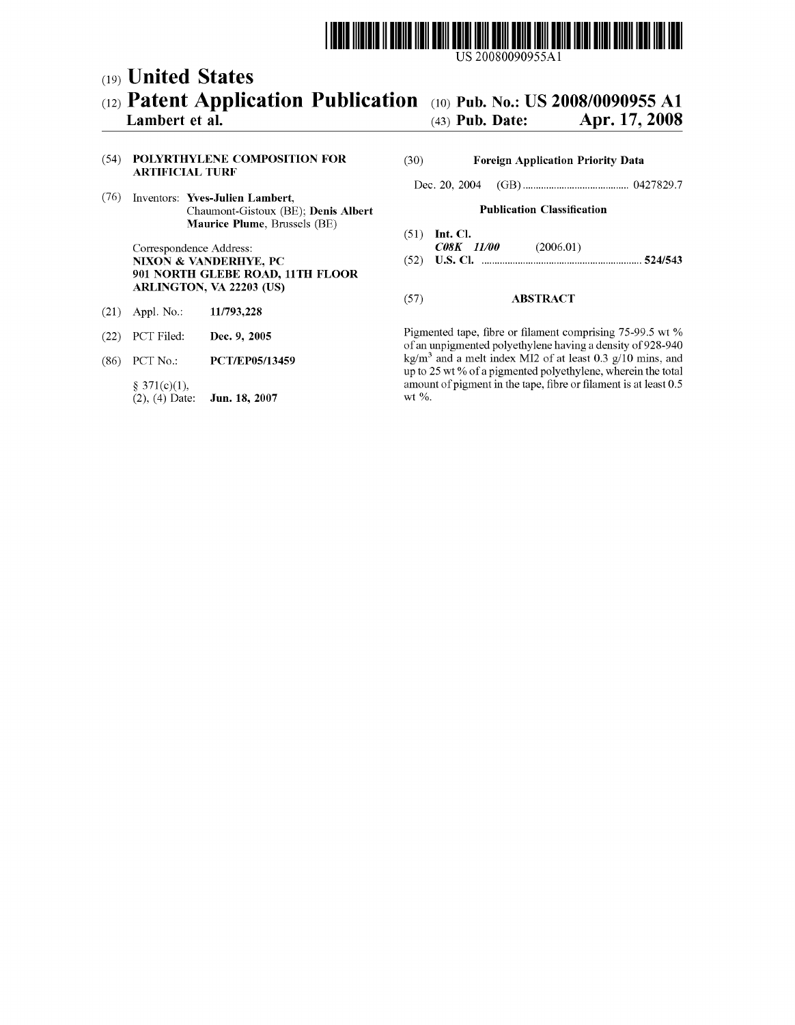# US 20080090955A1

## (19) United States

## (12) Patent Application Publication (10) Pub. No.: US 2008/0090955 A1<br>Lambert et al. (43) Pub. Date: Apr. 17, 2008 Apr. 17, 2008

## (54) POLYRTHYLENE COMPOSITION FOR (30) Foreign Application Priority Data ARTIFICIAL TURF

(76) Inventors: Yves-Julien Lambert, Chaumont-Gistoux (BE); Denis Albert **Publication Classification**<br> **Maurice Plume**, Brussels (BE)

Correspondence Address: CSK II/00 (2006.01) 901 NORTH GLEBE ROAD, 11TH FLOOR ARLINGTON, VA 22203 (US) (57) ABSTRACT<br>
Appl. No.: 11/793,228 (57)

- (21) Appl. No.:
- 
- 

 $(2), (4)$  Date:

Dec. 20, 2004 (GB)......................................... O427829.7

- 
- (51) Int. Cl.<br> $C08K$  11/00 NIXON & VANDERHYE, PC (52) U.S. Cl. .............................................................. 524/543

(22) PCT Filed: **Dec. 9, 2005** Pigmented tape, fibre or filament comprising 75-99.5 wt % of an unpigmented polyethylene having a density of 928-940 (86) PCT No.: **PCT/EP05/13459** kg/m<sup>3</sup> and a melt index MI2 of at least 0.3 g/10 mins, and up to 25 wt % of a pigmented polyethylene, wherein the total  $\S$  371(c)(1),<br>(2), (4) Date: **Jun. 18, 2007** wt %.<br>We write:  $\S$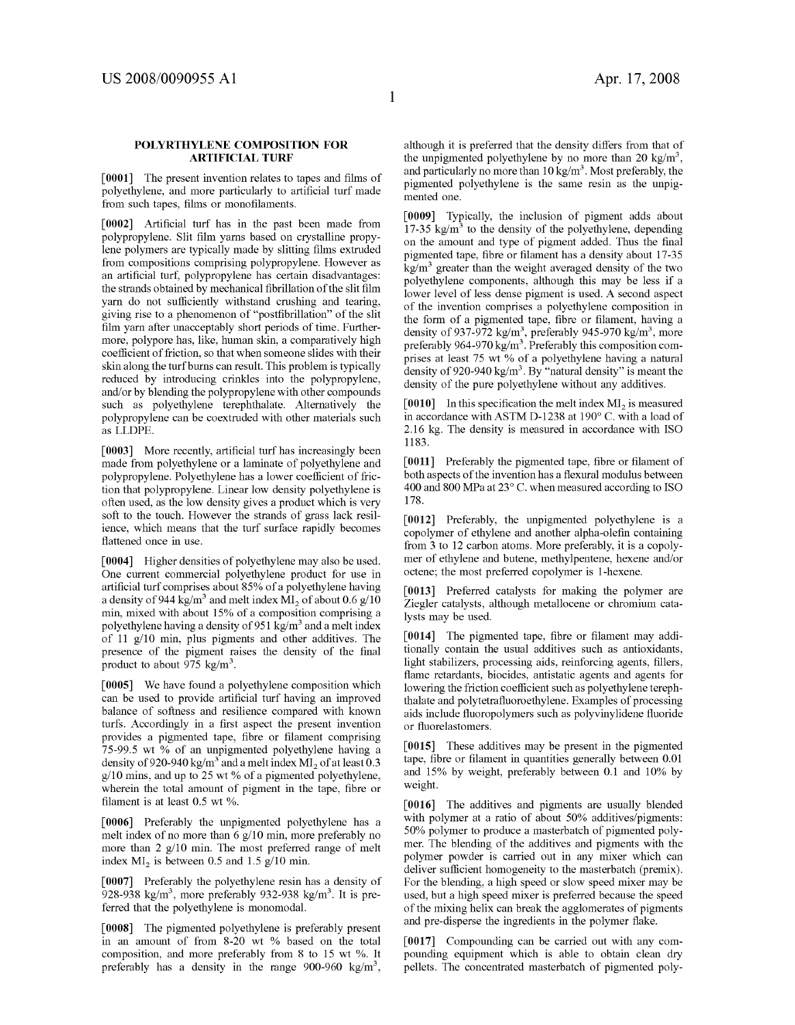## POLYRTHYLENE COMPOSITION FOR **ARTIFICIAL TURF**

[0001] The present invention relates to tapes and films of polyethylene, and more particularly to artificial turf made from such tapes, films or monofilaments.

[0002] Artificial turf has in the past been made from polypropylene. Slit film yarns based on crystalline propy lene polymers are typically made by slitting films extruded from compositions comprising polypropylene. However as an artificial turf, polypropylene has certain disadvantages: the strands obtained by mechanical fibrillation of the slit film<br>yarn do not sufficiently withstand crushing and tearing, giving rise to a phenomenon of "postfibrillation" of the slit film yarn after unacceptably short periods of time. Further more, polypore has, like, human skin, a comparatively high coefficient of friction, so that when someone slides with their<br>skin along the turf burns can result. This problem is typically reduced by introducing crinkles into the polypropylene, and/or by blending the polypropylene with other compounds such as polyethylene terephthalate. Alternatively the polypropylene can be coextruded with other materials such as LLDPE

[0003] More recently, artificial turf has increasingly been made from polyethylene or a laminate of polyethylene and polypropylene. Polyethylene has a lower coefficient of fric tion that polypropylene. Linear low density polyethylene is often used, as the low density gives a product which is very soft to the touch. However the strands of grass lack resil ience, which means that the turf surface rapidly becomes flattened once in use.

[0004] Higher densities of polyethylene may also be used. One current commercial polyethylene product for use in artificial turf comprises about 85% of a polyethylene having a density of 944 kg/m<sup>3</sup> and melt index  $MI_2$  of about 0.6 g/10 min, mixed with about 15% of a composition comprising a polyethylene having a density of  $951 \text{ kg/m}^3$  and a melt index of 11 g/10 min, plus pigments and other additives. The presence of the pigment raises the density of the final product to about  $\frac{975 \text{ kg/m}^3}{ }$ .

[0005] We have found a polyethylene composition which can be used to provide artificial turf having an improved balance of softness and resilience compared with known turfs. Accordingly in a first aspect the present invention provides a pigmented tape, fibre or filament comprising 75-99.5 wt % of an unpigmented polyethylene having a density of 920-940 kg/m<sup>3</sup> and a melt index  $MI_2$  of at least 0.3 g/10 mins, and up to 25 wt % of a pigmented polyethylene, wherein the total amount of pigment in the tape, fibre or filament is at least 0.5 wt %.

[0006] Preferably the unpigmented polyethylene has a melt index of no more than 6 g/10 min, more preferably no more than 2 g/10 min. The most preferred range of melt index  $MI_2$  is between 0.5 and 1.5 g/10 min.

[0007] Preferably the polyethylene resin has a density of 928-938 kg/m<sup>3</sup>, more preferably 932-938 kg/m<sup>3</sup>. It is preferred that the polyethylene is monomodal.

[0008] The pigmented polyethylene is preferably present in an amount of from 8-20 wt % based on the total composition, and more preferably from 8 to 15 wt %. It preferably has a density in the range 900-960 kg/m<sup>3</sup>,

although it is preferred that the density differs from that of the unpigmented polyethylene by no more than 20  $\text{kg/m}^3$ , and particularly no more than  $10 \text{ kg/m}^3$ . Most preferably, the pigmented polyethylene is the same resin as the unpig mented one.

[0009] Typically, the inclusion of pigment adds about 17-35 kg/m<sup>3</sup> to the density of the polyethylene, depending on the amount and type of pigment added. Thus the final pigmented tape, fibre or filament has a density about 17-35  $kg/m<sup>3</sup>$  greater than the weight averaged density of the two polyethylene components, although this may be less if a lower level of less dense pigment is used. A second aspect of the invention comprises a polyethylene composition in the form of a pigmented tape, fibre or filament, having a density of 937-972 kg/m<sup>3</sup>, preferably 945-970 kg/m<sup>3</sup>, more preferably 964-970 kg/m<sup>3</sup>. Preferably this composition comprises at least 75 wt % of a polyethylene having a natural density of 920-940 kg/m<sup>3</sup>. By "natural density" is meant the density of the pure polyethylene without any additives.

[0010] In this specification the melt index  $MI_2$  is measured in accordance with ASTM D-1238 at 190° C. with a load of 2.16 kg. The density is measured in accordance with ISO 1183.

[0011] Preferably the pigmented tape, fibre or filament of both aspects of the invention has a flexural modulus between 400 and 800 MPa at 23°C. when measured according to ISO 178.

[0012] Preferably, the unpigmented polyethylene is a copolymer of ethylene and another alpha-olefin containing from 3 to 12 carbon atoms. More preferably, it is a copoly mer of ethylene and butene, methylpentene, hexene and/or octene; the most preferred copolymer is 1-hexene.

[0013] Preferred catalysts for making the polymer are Ziegler catalysts, although metallocene or chromium cata lysts may be used.

[0014] The pigmented tape, fibre or filament may additionally contain the usual additives such as antioxidants, light stabilizers, processing aids, reinforcing agents, fillers, flame retardants, biocides, antistatic agents and agents for lowering the friction coefficient such as polyethylene terephthalate and polytetrafluoroethylene. Examples of processing aids include fluoropolymers such as polyvinylidene fluoride or fluorelastomers.

[0015] These additives may be present in the pigmented tape, fibre or filament in quantities generally between 0.01 and 15% by weight, preferably between 0.1 and 10% by weight.

[0016] The additives and pigments are usually blended with polymer at a ratio of about 50% additives/pigments: 50% polymer to produce a masterbatch of pigmented poly mer. The blending of the additives and pigments with the polymer powder is carried out in any mixer which can deliver sufficient homogeneity to the masterbatch (premix). For the blending, a high speed or slow speed mixer may be used, but a high speed mixer is preferred because the speed of the mixing helix can break the agglomerates of pigments and pre-disperse the ingredients in the polymer flake.

[0017] Compounding can be carried out with any compounding equipment which is able to obtain clean dry pellets. The concentrated masterbatch of pigmented poly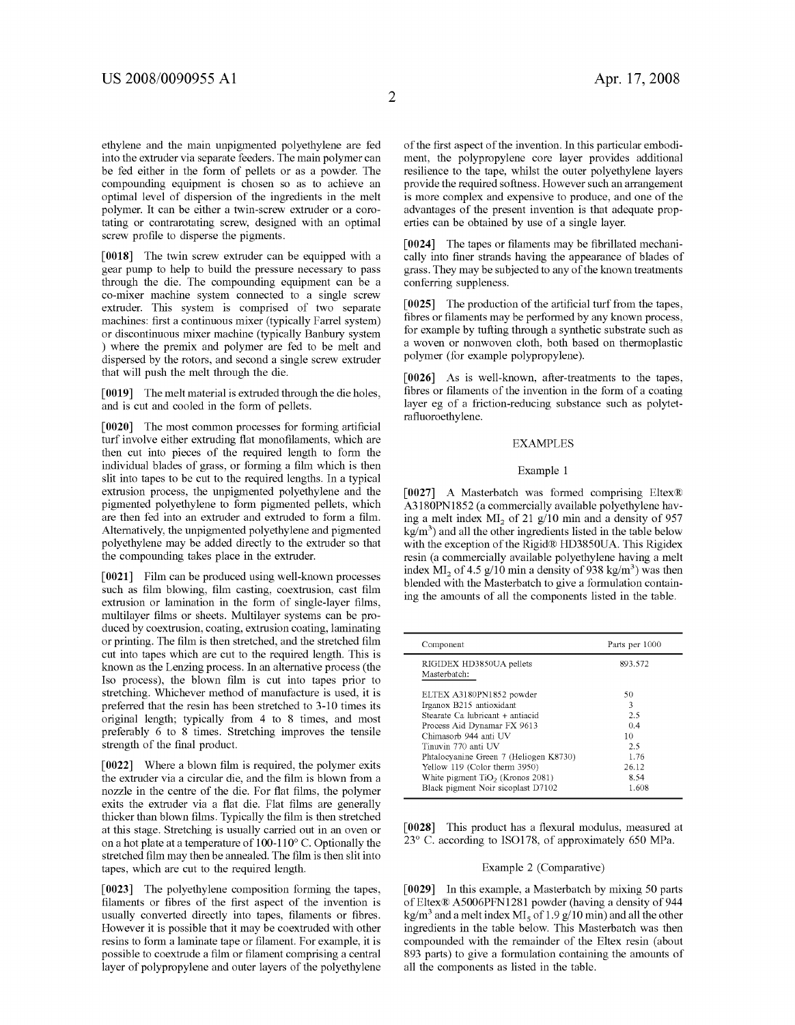ethylene and the main unpigmented polyethylene are fed into the extruder via separate feeders. The main polymer can be fed either in the form of pellets or as a powder. The compounding equipment is chosen so as to achieve an optimal level of dispersion of the ingredients in the melt polymer. It can be either a twin-screw extruder or a coro tating or contrarotating screw, designed with an optimal screw profile to disperse the pigments.

[0018] The twin screw extruder can be equipped with a gear pump to help to build the pressure necessary to pass through the die. The compounding equipment can be a co-mixer machine system connected to a single screw extruder. This system is comprised of two separate machines: first a continuous mixer (typically Farrel system) or discontinuous mixer machine (typically Banbury system ) where the premix and polymer are fed to be melt and dispersed by the rotors, and second a single screw extruder that will push the melt through the die.

[0019] The melt material is extruded through the die holes, and is cut and cooled in the form of pellets.

[0020] The most common processes for forming artificial turf involve either extruding flat monofilaments, which are then cut into pieces of the required length to form the individual blades of grass, or forming a film which is then slit into tapes to be cut to the required lengths. In a typical extrusion process, the unpigmented polyethylene and the pigmented polyethylene to form pigmented pellets, which are then fed into an extruder and extruded to form a film. Alternatively, the unpigmented polyethylene and pigmented polyethylene may be added directly to the extruder so that the compounding takes place in the extruder.

[0021] Film can be produced using well-known processes such as film blowing, film casting, coextrusion, cast film extrusion or lamination in the form of single-layer films, multilayer films or sheets. Multilayer systems can be produced by coextrusion, coating, extrusion coating, laminating or printing. The film is then stretched, and the stretched film cut into tapes which are cut to the required length. This is known as the Lenzing process. In an alternative process (the Iso process), the blown film is cut into tapes prior to stretching. Whichever method of manufacture is used, it is preferred that the resin has been stretched to 3-10 times its original length; typically from 4 to 8 times, and most preferably 6 to 8 times. Stretching improves the tensile strength of the final product.

 $\lceil 0022 \rceil$  Where a blown film is required, the polymer exits the extruder via a circular die, and the film is blown from a nozzle in the centre of the die. For flat films, the polymer exits the extruder via a flat die. Flat films are generally thicker than blown films. Typically the film is then stretched at this stage. Stretching is usually carried out in an oven or on a hot plate at a temperature of 100-110°C. Optionally the stretched film may then be annealed. The film is then slit into tapes, which are cut to the required length.

[0023] The polyethylene composition forming the tapes, filaments or fibres of the first aspect of the invention is usually converted directly into tapes, filaments or fibres. However it is possible that it may be coextruded with other resins to form a laminate tape or filament. For example, it is possible to coextrude a film or filament comprising a central layer of polypropylene and outer layers of the polyethylene of the first aspect of the invention. In this particular embodi ment, the polypropylene core layer provides additional resilience to the tape, whilst the outer polyethylene layers provide the required softness. However such an arrangement is more complex and expensive to produce, and one of the advantages of the present invention is that adequate prop erties can be obtained by use of a single layer.

 $\lceil 0024 \rceil$  The tapes or filaments may be fibrillated mechanically into finer strands having the appearance of blades of grass. They may be subjected to any of the known treatments conferring suppleness.

[0025] The production of the artificial turf from the tapes, fibres or filaments may be performed by any known process, for example by tufting through a synthetic substrate such as a woven or nonwoven cloth, both based on polymer (for example polypropylene).

0026. As is well-known, after-treatments to the tapes, fibres or filaments of the invention in the form of a coating layer eg of a friction-reducing Substance Such as polytet rafluoroethylene.

### EXAMPLES

### Example 1

[0027] A Masterbatch was formed comprising Eltex® A3180PN1852 (a commercially available polyethylene having a melt index  $MI_2$  of 21 g/10 min and a density of 957  $kg/m<sup>3</sup>$ ) and all the other ingredients listed in the table below with the exception of the Rigid® HD3850UA. This Rigidex resin (a commercially available polyethylene having a melt index  $M_2$  of 4.5 g/10 min a density of 938 kg/m<sup>3</sup>) was then blended with the Masterbatch to give a formulation contain ing the amounts of all the components listed in the table.

| Component                                                                                                                                                                                                                                                                                | Parts per 1000                                              |
|------------------------------------------------------------------------------------------------------------------------------------------------------------------------------------------------------------------------------------------------------------------------------------------|-------------------------------------------------------------|
| RIGIDEX HD3850UA pellets<br>Masterbatch:                                                                                                                                                                                                                                                 | 893.572                                                     |
| ELTEX A3180PN1852 powder<br>Irganox B215 antioxidant<br>Stearate Ca lubricant + antiacid<br>Process Aid Dynamar FX 9613<br>Chimasorb 944 anti UV<br>Tinuvin 770 anti UV<br>Phtalocyanine Green 7 (Heliogen K8730)<br>Yellow 119 (Color therm 3950)<br>White pigment $TiO2$ (Kronos 2081) | 50<br>3<br>2.5<br>0.4<br>10<br>2.5<br>1.76<br>26.12<br>8.54 |
| Black pigment Noir sicoplast D7102                                                                                                                                                                                                                                                       | 1.608                                                       |

[0028] This product has a flexural modulus, measured at 23° C. according to ISO178, of approximately 650 MPa.

## Example 2 (Comparative)

[0029] In this example, a Masterbatch by mixing 50 parts of Eltex® A5006PFN1281 powder (having a density of 944 kg/m<sup>3</sup> and a melt index MI<sub>s</sub> of 1.9 g/10 min) and all the other ingredients in the table below. This Masterbatch was then compounded with the remainder of the Eltex resin (about 893 parts) to give a formulation containing the amounts of all the components as listed in the table.